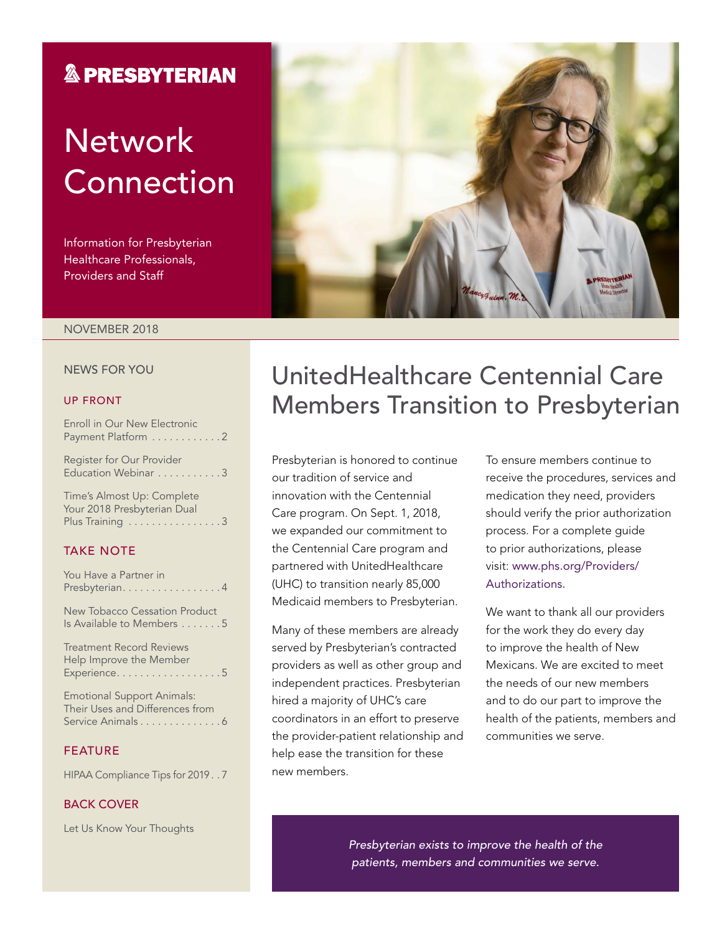## **& PRESBYTERIAN**

# **Network** Connection

Information for Presbyterian Healthcare Professionals, Providers and Staff



#### NOVEMBER 2018

#### NEWS FOR YOU

#### UP FRONT

| Enroll in Our New Electronic<br>Payment Platform 2 |
|----------------------------------------------------|
| Register for Our Provider<br>Education Webinar 3   |
| Timo's Almost Un: Complete                         |

Time's Almost Up: Complete Your 2018 Presbyterian Dual Plus Training . . . . . . . . . . . . . . . 3

#### TAKE NOTE

| You Have a Partner in<br>Presbyterian. 4                                                  |
|-------------------------------------------------------------------------------------------|
| New Tobacco Cessation Product<br>Is Available to Members 5                                |
| <b>Treatment Record Reviews</b><br>Help Improve the Member<br>Experience5                 |
| <b>Emotional Support Animals:</b><br>Their Uses and Differences from<br>Service Animals 6 |
| <b>FEATURE</b>                                                                            |
| HIPAA Compliance Tips for 20197                                                           |

#### BACK COVER

Let Us Know Your Thoughts

## UnitedHealthcare Centennial Care Members Transition to Presbyterian

Presbyterian is honored to continue our tradition of service and innovation with the Centennial Care program. On Sept. 1, 2018, we expanded our commitment to the Centennial Care program and partnered with UnitedHealthcare (UHC) to transition nearly 85,000 Medicaid members to Presbyterian.

Many of these members are already served by Presbyterian's contracted providers as well as other group and independent practices. Presbyterian hired a majority of UHC's care coordinators in an effort to preserve the provider-patient relationship and help ease the transition for these new members.

To ensure members continue to receive the procedures, services and medication they need, providers should verify the prior authorization process. For a complete guide to prior authorizations, please visit: [www.phs.org/Providers/](http://www.phs.org/Providers/Authorizations) [Authorizations](http://www.phs.org/Providers/Authorizations).

We want to thank all our providers for the work they do every day to improve the health of New Mexicans. We are excited to meet the needs of our new members and to do our part to improve the health of the patients, members and communities we serve.

*Presbyterian exists to improve the health of the patients, members and communities we serve.*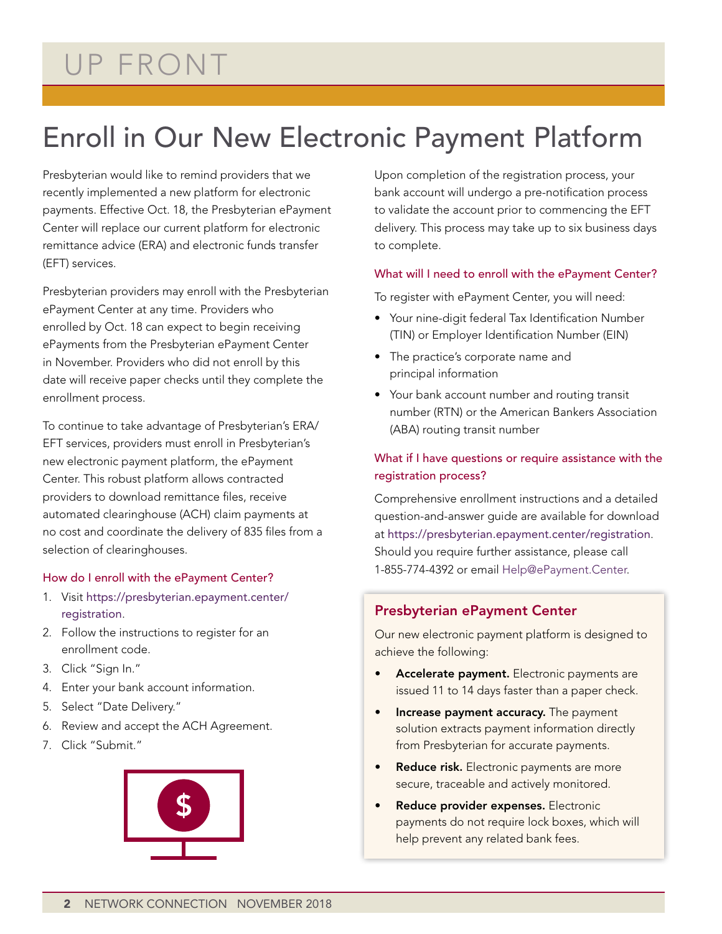# UP FRONT

# Enroll in Our New Electronic Payment Platform

Presbyterian would like to remind providers that we recently implemented a new platform for electronic payments. Effective Oct. 18, the Presbyterian ePayment Center will replace our current platform for electronic remittance advice (ERA) and electronic funds transfer (EFT) services.

Presbyterian providers may enroll with the Presbyterian ePayment Center at any time. Providers who enrolled by Oct. 18 can expect to begin receiving ePayments from the Presbyterian ePayment Center in November. Providers who did not enroll by this date will receive paper checks until they complete the enrollment process.

To continue to take advantage of Presbyterian's ERA/ EFT services, providers must enroll in Presbyterian's new electronic payment platform, the ePayment Center. This robust platform allows contracted providers to download remittance files, receive automated clearinghouse (ACH) claim payments at no cost and coordinate the delivery of 835 files from a selection of clearinghouses.

#### How do I enroll with the ePayment Center?

- 1. Visit [https://presbyterian.epayment.center/](https://presbyterian.epayment.center/registration) [registration](https://presbyterian.epayment.center/registration).
- 2. Follow the instructions to register for an enrollment code.
- 3. Click "Sign In."
- 4. Enter your bank account information.
- 5. Select "Date Delivery."
- 6. Review and accept the ACH Agreement.
- 7. Click "Submit."



Upon completion of the registration process, your bank account will undergo a pre-notification process to validate the account prior to commencing the EFT delivery. This process may take up to six business days to complete.

#### What will I need to enroll with the ePayment Center?

To register with ePayment Center, you will need:

- Your nine-digit federal Tax Identification Number (TIN) or Employer Identification Number (EIN)
- The practice's corporate name and principal information
- Your bank account number and routing transit number (RTN) or the American Bankers Association (ABA) routing transit number

#### What if I have questions or require assistance with the registration process?

Comprehensive enrollment instructions and a detailed question-and-answer guide are available for download at <https://presbyterian.epayment.center/registration>. Should you require further assistance, please call 1-855-774-4392 or email Help@ePayment.Center.

#### Presbyterian ePayment Center

Our new electronic payment platform is designed to achieve the following:

- Accelerate payment. Electronic payments are issued 11 to 14 days faster than a paper check.
- Increase payment accuracy. The payment solution extracts payment information directly from Presbyterian for accurate payments.
- Reduce risk. Electronic payments are more secure, traceable and actively monitored.
- Reduce provider expenses. Electronic payments do not require lock boxes, which will help prevent any related bank fees.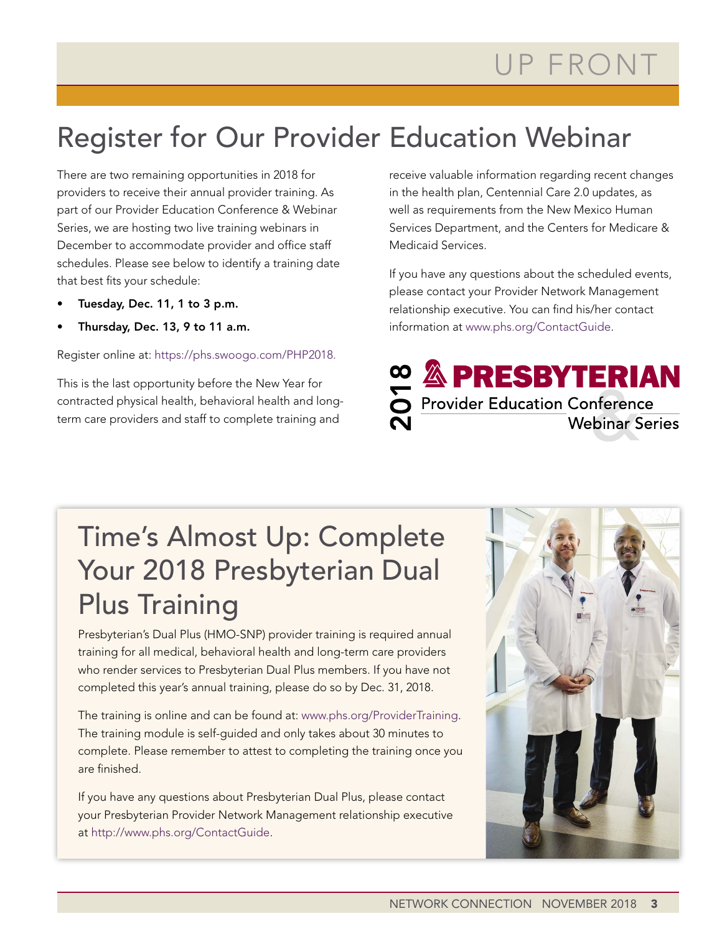# Register for Our Provider Education Webinar

There are two remaining opportunities in 2018 for providers to receive their annual provider training. As part of our Provider Education Conference & Webinar Series, we are hosting two live training webinars in December to accommodate provider and office staff schedules. Please see below to identify a training date that best fits your schedule:

- Tuesday, Dec. 11, 1 to 3 p.m.
- Thursday, Dec. 13, 9 to 11 a.m.

Register online at: https://phs.swoogo.com/PHP2018.

This is the last opportunity before the New Year for contracted physical health, behavioral health and longterm care providers and staff to complete training and

receive valuable information regarding recent changes in the health plan, Centennial Care 2.0 updates, as well as requirements from the New Mexico Human Services Department, and the Centers for Medicare & Medicaid Services.

If you have any questions about the scheduled events, please contact your Provider Network Management relationship executive. You can find his/her contact information at www.phs.org/ContactGuide.



# Time's Almost Up: Complete Your 2018 Presbyterian Dual Plus Training

Presbyterian's Dual Plus (HMO-SNP) provider training is required annual training for all medical, behavioral health and long-term care providers who render services to Presbyterian Dual Plus members. If you have not completed this year's annual training, please do so by Dec. 31, 2018.

The training is online and can be found at: www.phs.org/ProviderTraining. The training module is self-guided and only takes about 30 minutes to complete. Please remember to attest to completing the training once you are finished.

If you have any questions about Presbyterian Dual Plus, please contact your Presbyterian Provider Network Management relationship executive at http://www.phs.org/ContactGuide.

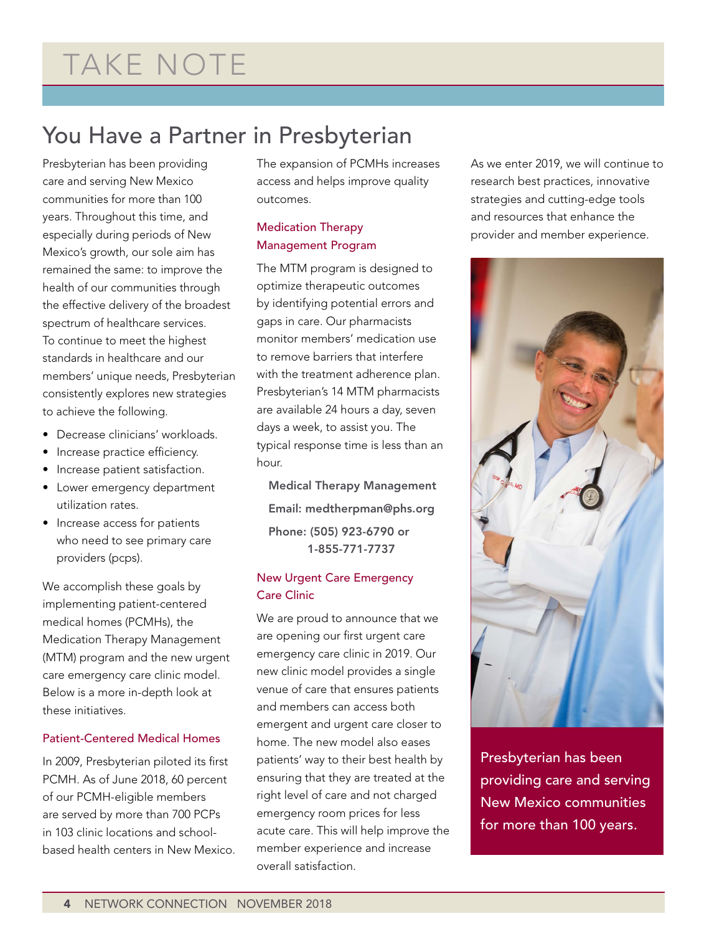## You Have a Partner in Presbyterian

Presbyterian has been providing care and serving New Mexico communities for more than 100 years. Throughout this time, and especially during periods of New Mexico's growth, our sole aim has remained the same: to improve the health of our communities through the effective delivery of the broadest spectrum of healthcare services. To continue to meet the highest standards in healthcare and our members' unique needs, Presbyterian consistently explores new strategies to achieve the following.

- Decrease clinicians' workloads.
- Increase practice efficiency.
- Increase patient satisfaction.
- Lower emergency department utilization rates.
- Increase access for patients who need to see primary care providers (pcps).

We accomplish these goals by implementing patient-centered medical homes (PCMHs), the Medication Therapy Management (MTM) program and the new urgent care emergency care clinic model. Below is a more in-depth look at these initiatives.

#### Patient-Centered Medical Homes

In 2009, Presbyterian piloted its first PCMH. As of June 2018, 60 percent of our PCMH-eligible members are served by more than 700 PCPs in 103 clinic locations and schoolbased health centers in New Mexico. The expansion of PCMHs increases access and helps improve quality outcomes.

### Medication Therapy Management Program

The MTM program is designed to optimize therapeutic outcomes by identifying potential errors and gaps in care. Our pharmacists monitor members' medication use to remove barriers that interfere with the treatment adherence plan. Presbyterian's 14 MTM pharmacists are available 24 hours a day, seven days a week, to assist you. The typical response time is less than an hour.

Medical Therapy Management Email: medtherpman@phs.org Phone: (505) 923-6790 or 1-855-771-7737

### New Urgent Care Emergency Care Clinic

We are proud to announce that we are opening our first urgent care emergency care clinic in 2019. Our new clinic model provides a single venue of care that ensures patients and members can access both emergent and urgent care closer to home. The new model also eases patients' way to their best health by ensuring that they are treated at the right level of care and not charged emergency room prices for less acute care. This will help improve the member experience and increase overall satisfaction.

As we enter 2019, we will continue to research best practices, innovative strategies and cutting-edge tools and resources that enhance the provider and member experience.



Presbyterian has been providing care and serving New Mexico communities for more than 100 years.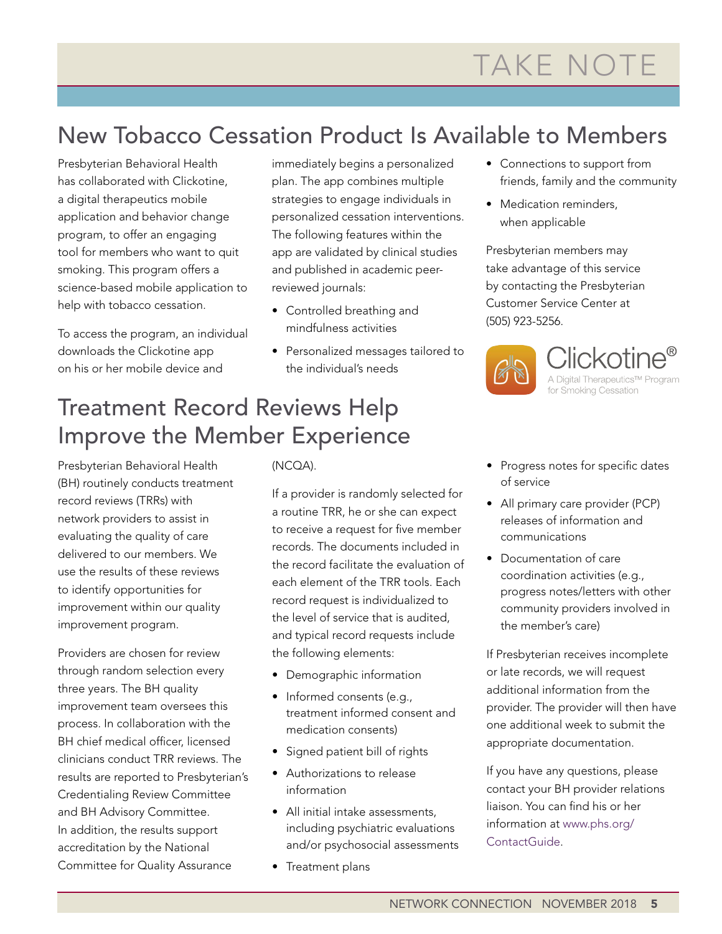# New Tobacco Cessation Product Is Available to Members

Presbyterian Behavioral Health has collaborated with Clickotine, a digital therapeutics mobile application and behavior change program, to offer an engaging tool for members who want to quit smoking. This program offers a science-based mobile application to help with tobacco cessation.

To access the program, an individual downloads the Clickotine app on his or her mobile device and

immediately begins a personalized plan. The app combines multiple strategies to engage individuals in personalized cessation interventions. The following features within the app are validated by clinical studies and published in academic peerreviewed journals:

- Controlled breathing and mindfulness activities
- Personalized messages tailored to the individual's needs

## Treatment Record Reviews Help Improve the Member Experience

Presbyterian Behavioral Health (BH) routinely conducts treatment record reviews (TRRs) with network providers to assist in evaluating the quality of care delivered to our members. We use the results of these reviews to identify opportunities for improvement within our quality improvement program.

Providers are chosen for review through random selection every three years. The BH quality improvement team oversees this process. In collaboration with the BH chief medical officer, licensed clinicians conduct TRR reviews. The results are reported to Presbyterian's Credentialing Review Committee and BH Advisory Committee. In addition, the results support accreditation by the National Committee for Quality Assurance

### (NCQA).

If a provider is randomly selected for a routine TRR, he or she can expect to receive a request for five member records. The documents included in the record facilitate the evaluation of each element of the TRR tools. Each record request is individualized to the level of service that is audited, and typical record requests include the following elements:

- Demographic information
- Informed consents (e.g., treatment informed consent and medication consents)
- Signed patient bill of rights
- Authorizations to release information
- All initial intake assessments, including psychiatric evaluations and/or psychosocial assessments
- Treatment plans
- Connections to support from friends, family and the community
- Medication reminders, when applicable

Presbyterian members may take advantage of this service by contacting the Presbyterian Customer Service Center at (505) 923-5256.



Clickotine® A Digital Therapeutics™ Program for Smoking Cessation

- Progress notes for specific dates of service
- All primary care provider (PCP) releases of information and communications
- Documentation of care coordination activities (e.g., progress notes/letters with other community providers involved in the member's care)

If Presbyterian receives incomplete or late records, we will request additional information from the provider. The provider will then have one additional week to submit the appropriate documentation.

If you have any questions, please contact your BH provider relations liaison. You can find his or her information at www.phs.org/ ContactGuide.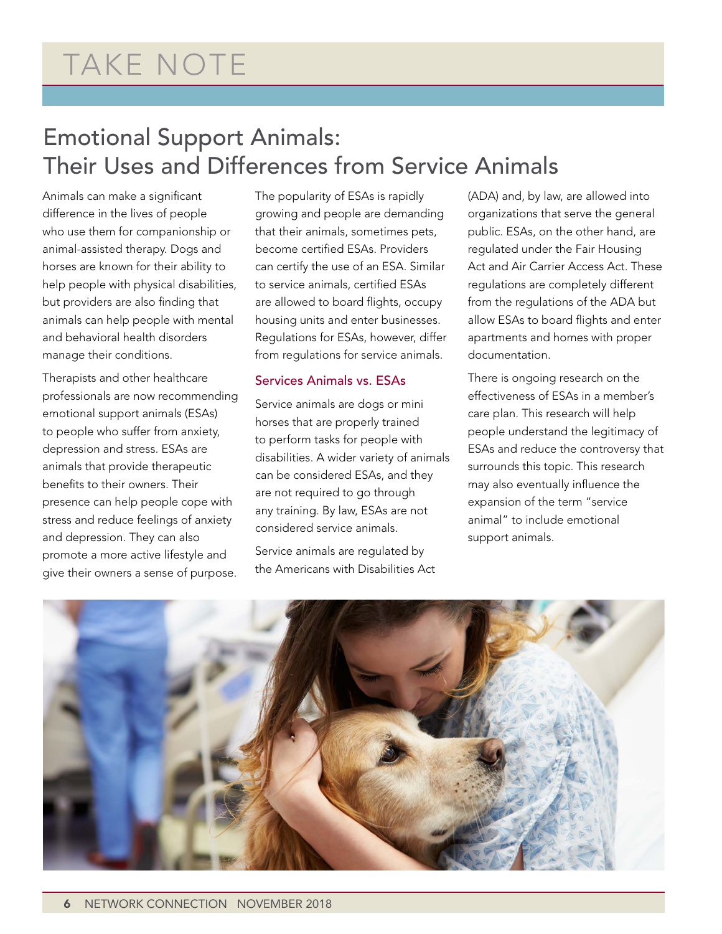## Emotional Support Animals: Their Uses and Differences from Service Animals

Animals can make a significant difference in the lives of people who use them for companionship or animal-assisted therapy. Dogs and horses are known for their ability to help people with physical disabilities, but providers are also finding that animals can help people with mental and behavioral health disorders manage their conditions.

Therapists and other healthcare professionals are now recommending emotional support animals (ESAs) to people who suffer from anxiety, depression and stress. ESAs are animals that provide therapeutic benefits to their owners. Their presence can help people cope with stress and reduce feelings of anxiety and depression. They can also promote a more active lifestyle and give their owners a sense of purpose.

The popularity of ESAs is rapidly growing and people are demanding that their animals, sometimes pets, become certified ESAs. Providers can certify the use of an ESA. Similar to service animals, certified ESAs are allowed to board flights, occupy housing units and enter businesses. Regulations for ESAs, however, differ from regulations for service animals.

#### Services Animals vs. ESAs

Service animals are dogs or mini horses that are properly trained to perform tasks for people with disabilities. A wider variety of animals can be considered ESAs, and they are not required to go through any training. By law, ESAs are not considered service animals.

Service animals are regulated by the Americans with Disabilities Act (ADA) and, by law, are allowed into organizations that serve the general public. ESAs, on the other hand, are regulated under the Fair Housing Act and Air Carrier Access Act. These regulations are completely different from the regulations of the ADA but allow ESAs to board flights and enter apartments and homes with proper documentation.

There is ongoing research on the effectiveness of ESAs in a member's care plan. This research will help people understand the legitimacy of ESAs and reduce the controversy that surrounds this topic. This research may also eventually influence the expansion of the term "service animal" to include emotional support animals.

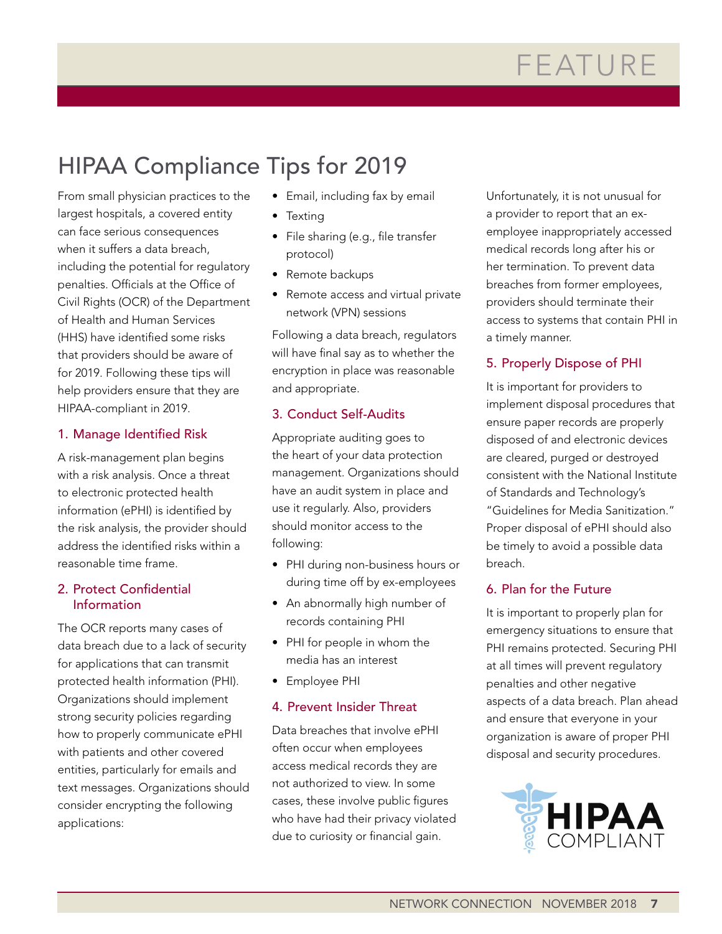# HIPAA Compliance Tips for 2019

From small physician practices to the largest hospitals, a covered entity can face serious consequences when it suffers a data breach, including the potential for regulatory penalties. Officials at the Office of Civil Rights (OCR) of the Department of Health and Human Services (HHS) have identified some risks that providers should be aware of for 2019. Following these tips will help providers ensure that they are HIPAA-compliant in 2019.

### 1. Manage Identified Risk

A risk-management plan begins with a risk analysis. Once a threat to electronic protected health information (ePHI) is identified by the risk analysis, the provider should address the identified risks within a reasonable time frame.

#### 2. Protect Confidential Information

The OCR reports many cases of data breach due to a lack of security for applications that can transmit protected health information (PHI). Organizations should implement strong security policies regarding how to properly communicate ePHI with patients and other covered entities, particularly for emails and text messages. Organizations should consider encrypting the following applications:

- Email, including fax by email
- Texting
- File sharing (e.g., file transfer protocol)
- Remote backups
- Remote access and virtual private network (VPN) sessions

Following a data breach, regulators will have final say as to whether the encryption in place was reasonable and appropriate.

### 3. Conduct Self-Audits

Appropriate auditing goes to the heart of your data protection management. Organizations should have an audit system in place and use it regularly. Also, providers should monitor access to the following:

- PHI during non-business hours or during time off by ex-employees
- An abnormally high number of records containing PHI
- PHI for people in whom the media has an interest
- Employee PHI

### 4. Prevent Insider Threat

Data breaches that involve ePHI often occur when employees access medical records they are not authorized to view. In some cases, these involve public figures who have had their privacy violated due to curiosity or financial gain.

Unfortunately, it is not unusual for a provider to report that an exemployee inappropriately accessed medical records long after his or her termination. To prevent data breaches from former employees, providers should terminate their access to systems that contain PHI in a timely manner.

### 5. Properly Dispose of PHI

It is important for providers to implement disposal procedures that ensure paper records are properly disposed of and electronic devices are cleared, purged or destroyed consistent with the National Institute of Standards and Technology's "Guidelines for Media Sanitization." Proper disposal of ePHI should also be timely to avoid a possible data breach.

### 6. Plan for the Future

It is important to properly plan for emergency situations to ensure that PHI remains protected. Securing PHI at all times will prevent regulatory penalties and other negative aspects of a data breach. Plan ahead and ensure that everyone in your organization is aware of proper PHI disposal and security procedures.